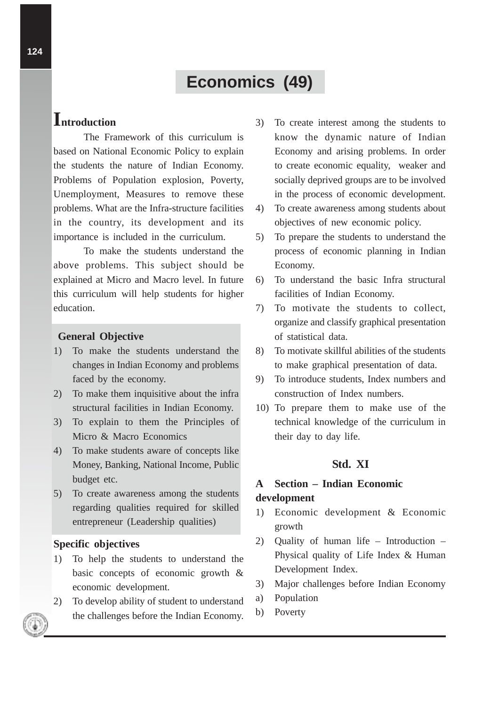# **Economics (49)**

# **Introduction**

The Framework of this curriculum is based on National Economic Policy to explain the students the nature of Indian Economy. Problems of Population explosion, Poverty, Unemployment, Measures to remove these problems. What are the Infra-structure facilities in the country, its development and its importance is included in the curriculum.

To make the students understand the above problems. This subject should be explained at Micro and Macro level. In future this curriculum will help students for higher education.

#### **General Objective**

- 1) To make the students understand the changes in Indian Economy and problems faced by the economy.
- 2) To make them inquisitive about the infra structural facilities in Indian Economy.
- 3) To explain to them the Principles of Micro & Macro Economics
- 4) To make students aware of concepts like Money, Banking, National Income, Public budget etc.
- 5) To create awareness among the students regarding qualities required for skilled entrepreneur (Leadership qualities)

#### **Specific objectives**

- 1) To help the students to understand the basic concepts of economic growth & economic development.
- 2) To develop ability of student to understand the challenges before the Indian Economy.
- 3) To create interest among the students to know the dynamic nature of Indian Economy and arising problems. In order to create economic equality, weaker and socially deprived groups are to be involved in the process of economic development.
- 4) To create awareness among students about objectives of new economic policy.
- 5) To prepare the students to understand the process of economic planning in Indian Economy.
- 6) To understand the basic Infra structural facilities of Indian Economy.
- 7) To motivate the students to collect, organize and classify graphical presentation of statistical data.
- 8) To motivate skillful abilities of the students to make graphical presentation of data.
- 9) To introduce students, Index numbers and construction of Index numbers.
- 10) To prepare them to make use of the technical knowledge of the curriculum in their day to day life.

# **Std. XI**

# **A Section – Indian Economic development**

- 1) Economic development & Economic growth
- 2) Quality of human life Introduction Physical quality of Life Index & Human Development Index.
- 3) Major challenges before Indian Economy
- a) Population
- b) Poverty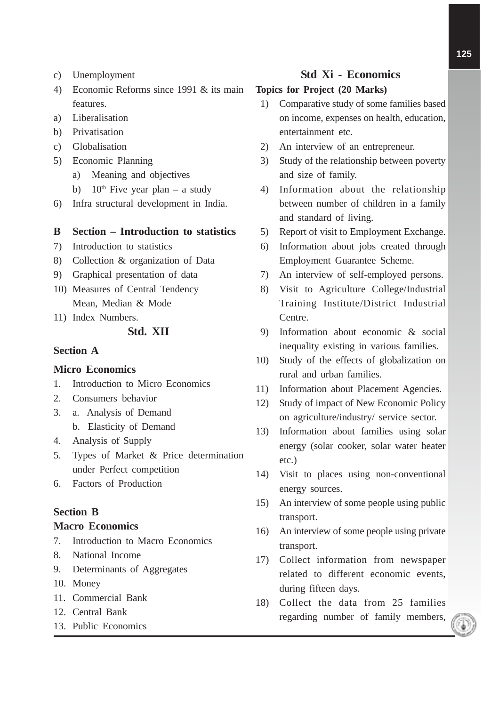- c) Unemployment
- 4) Economic Reforms since 1991 & its main features.
- a) Liberalisation
- b) Privatisation
- c) Globalisation
- 5) Economic Planning
	- a) Meaning and objectives
	- b) 10<sup>th</sup> Five year plan a study
- 6) Infra structural development in India.

#### **B Section – Introduction to statistics**

- 7) Introduction to statistics
- 8) Collection & organization of Data
- 9) Graphical presentation of data
- 10) Measures of Central Tendency Mean, Median & Mode
- 11) Index Numbers.

### **Std. XII**

#### **Section A**

#### **Micro Economics**

- 1. Introduction to Micro Economics
- 2. Consumers behavior
- 3. a. Analysis of Demand b. Elasticity of Demand
	-
- 4. Analysis of Supply
- 5. Types of Market & Price determination under Perfect competition
- 6. Factors of Production

#### **Section B**

#### **Macro Economics**

- 7. Introduction to Macro Economics
- 8. National Income
- 9. Determinants of Aggregates
- 10. Money
- 11. Commercial Bank
- 12. Central Bank
- 13. Public Economics

# **Std Xi - Economics**

#### **Topics for Project (20 Marks)**

- 1) Comparative study of some families based on income, expenses on health, education, entertainment etc.
- 2) An interview of an entrepreneur.
- 3) Study of the relationship between poverty and size of family.
- 4) Information about the relationship between number of children in a family and standard of living.
- 5) Report of visit to Employment Exchange.
- 6) Information about jobs created through Employment Guarantee Scheme.
- 7) An interview of self-employed persons.
- 8) Visit to Agriculture College/Industrial Training Institute/District Industrial Centre.
- 9) Information about economic & social inequality existing in various families.
- 10) Study of the effects of globalization on rural and urban families.
- 11) Information about Placement Agencies.
- 12) Study of impact of New Economic Policy on agriculture/industry/ service sector.
- 13) Information about families using solar energy (solar cooker, solar water heater etc.)
- 14) Visit to places using non-conventional energy sources.
- 15) An interview of some people using public transport.
- 16) An interview of some people using private transport.
- 17) Collect information from newspaper related to different economic events, during fifteen days.
- 18) Collect the data from 25 families regarding number of family members,